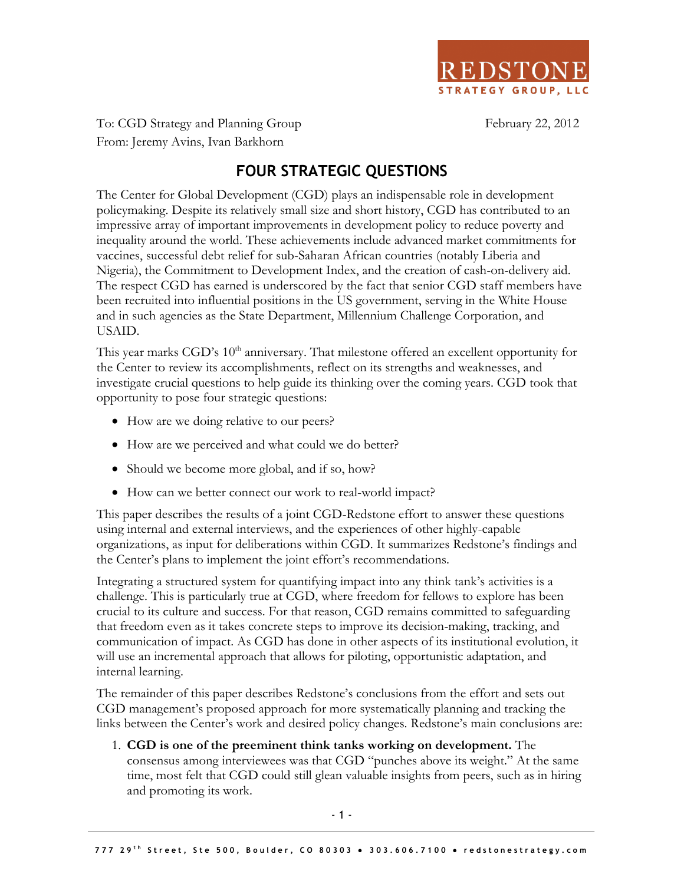

To: CGD Strategy and Planning Group February 22, 2012 From: Jeremy Avins, Ivan Barkhorn

# **FOUR STRATEGIC QUESTIONS**

The Center for Global Development (CGD) plays an indispensable role in development policymaking. Despite its relatively small size and short history, CGD has contributed to an impressive array of important improvements in development policy to reduce poverty and inequality around the world. These achievements include advanced market commitments for vaccines, successful debt relief for sub-Saharan African countries (notably Liberia and Nigeria), the Commitment to Development Index, and the creation of cash-on-delivery aid. The respect CGD has earned is underscored by the fact that senior CGD staff members have been recruited into influential positions in the US government, serving in the White House and in such agencies as the State Department, Millennium Challenge Corporation, and USAID.

This year marks CGD's  $10<sup>th</sup>$  anniversary. That milestone offered an excellent opportunity for the Center to review its accomplishments, reflect on its strengths and weaknesses, and investigate crucial questions to help guide its thinking over the coming years. CGD took that opportunity to pose four strategic questions:

- How are we doing relative to our peers?
- How are we perceived and what could we do better?
- Should we become more global, and if so, how?
- How can we better connect our work to real-world impact?

This paper describes the results of a joint CGD-Redstone effort to answer these questions using internal and external interviews, and the experiences of other highly-capable organizations, as input for deliberations within CGD. It summarizes Redstone's findings and the Center's plans to implement the joint effort's recommendations.

Integrating a structured system for quantifying impact into any think tank's activities is a challenge. This is particularly true at CGD, where freedom for fellows to explore has been crucial to its culture and success. For that reason, CGD remains committed to safeguarding that freedom even as it takes concrete steps to improve its decision-making, tracking, and communication of impact. As CGD has done in other aspects of its institutional evolution, it will use an incremental approach that allows for piloting, opportunistic adaptation, and internal learning.

The remainder of this paper describes Redstone's conclusions from the effort and sets out CGD management's proposed approach for more systematically planning and tracking the links between the Center's work and desired policy changes. Redstone's main conclusions are:

1. **CGD is one of the preeminent think tanks working on development.** The consensus among interviewees was that CGD "punches above its weight." At the same time, most felt that CGD could still glean valuable insights from peers, such as in hiring and promoting its work.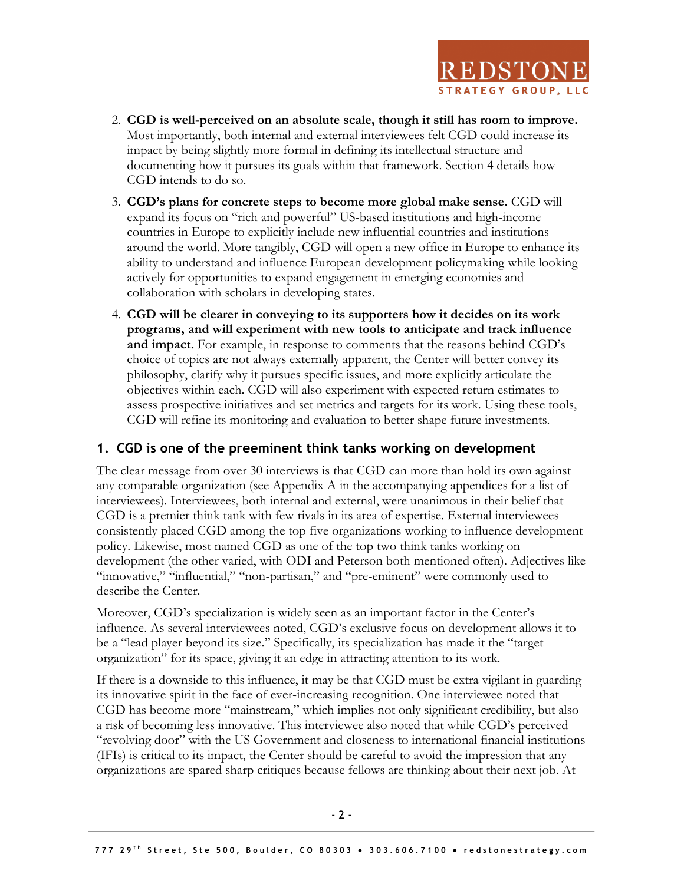

- 2. **CGD is well-perceived on an absolute scale, though it still has room to improve.**  Most importantly, both internal and external interviewees felt CGD could increase its impact by being slightly more formal in defining its intellectual structure and documenting how it pursues its goals within that framework. Section 4 details how CGD intends to do so.
- 3. **CGD's plans for concrete steps to become more global make sense.** CGD will expand its focus on "rich and powerful" US-based institutions and high-income countries in Europe to explicitly include new influential countries and institutions around the world. More tangibly, CGD will open a new office in Europe to enhance its ability to understand and influence European development policymaking while looking actively for opportunities to expand engagement in emerging economies and collaboration with scholars in developing states.
- 4. **CGD will be clearer in conveying to its supporters how it decides on its work programs, and will experiment with new tools to anticipate and track influence and impact.** For example, in response to comments that the reasons behind CGD's choice of topics are not always externally apparent, the Center will better convey its philosophy, clarify why it pursues specific issues, and more explicitly articulate the objectives within each. CGD will also experiment with expected return estimates to assess prospective initiatives and set metrics and targets for its work. Using these tools, CGD will refine its monitoring and evaluation to better shape future investments.

## **1. CGD is one of the preeminent think tanks working on development**

The clear message from over 30 interviews is that CGD can more than hold its own against any comparable organization (see Appendix A in the accompanying appendices for a list of interviewees). Interviewees, both internal and external, were unanimous in their belief that CGD is a premier think tank with few rivals in its area of expertise. External interviewees consistently placed CGD among the top five organizations working to influence development policy. Likewise, most named CGD as one of the top two think tanks working on development (the other varied, with ODI and Peterson both mentioned often). Adjectives like "innovative," "influential," "non-partisan," and "pre-eminent" were commonly used to describe the Center.

Moreover, CGD's specialization is widely seen as an important factor in the Center's influence. As several interviewees noted, CGD's exclusive focus on development allows it to be a "lead player beyond its size." Specifically, its specialization has made it the "target organization" for its space, giving it an edge in attracting attention to its work.

If there is a downside to this influence, it may be that CGD must be extra vigilant in guarding its innovative spirit in the face of ever-increasing recognition. One interviewee noted that CGD has become more "mainstream," which implies not only significant credibility, but also a risk of becoming less innovative. This interviewee also noted that while CGD's perceived "revolving door" with the US Government and closeness to international financial institutions (IFIs) is critical to its impact, the Center should be careful to avoid the impression that any organizations are spared sharp critiques because fellows are thinking about their next job. At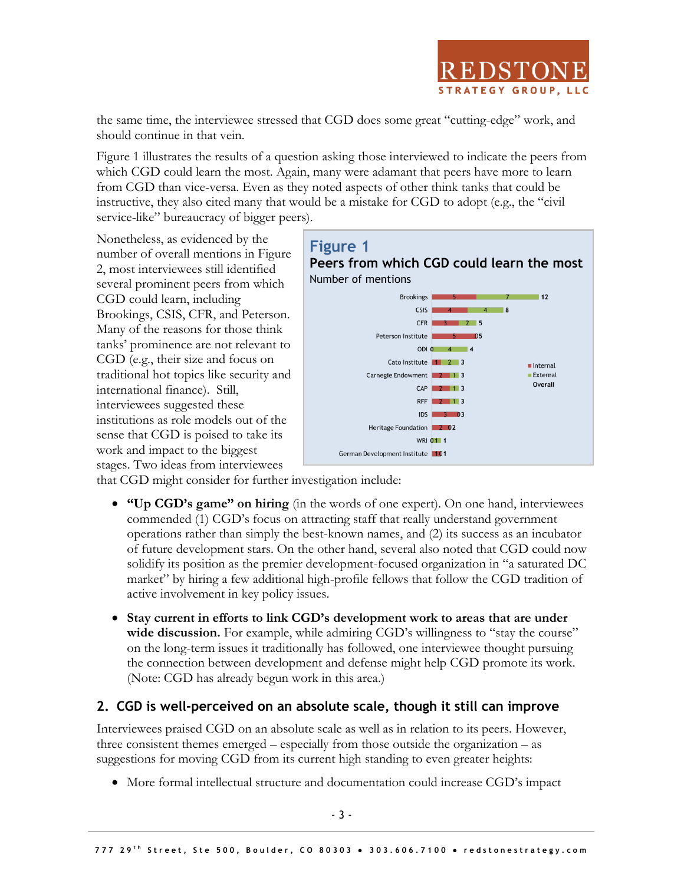

the same time, the interviewee stressed that CGD does some great "cutting-edge" work, and should continue in that vein.

Figure 1 illustrates the results of a question asking those interviewed to indicate the peers from which CGD could learn the most. Again, many were adamant that peers have more to learn from CGD than vice-versa. Even as they noted aspects of other think tanks that could be instructive, they also cited many that would be a mistake for CGD to adopt (e.g., the "civil service-like" bureaucracy of bigger peers).

Nonetheless, as evidenced by the number of overall mentions in Figure 2, most interviewees still identified several prominent peers from which CGD could learn, including Brookings, CSIS, CFR, and Peterson. Many of the reasons for those think tanks' prominence are not relevant to CGD (e.g., their size and focus on traditional hot topics like security and international finance). Still, interviewees suggested these institutions as role models out of the sense that CGD is poised to take its work and impact to the biggest stages. Two ideas from interviewees



that CGD might consider for further investigation include:

- **"Up CGD's game" on hiring** (in the words of one expert). On one hand, interviewees commended (1) CGD's focus on attracting staff that really understand government operations rather than simply the best-known names, and (2) its success as an incubator of future development stars. On the other hand, several also noted that CGD could now solidify its position as the premier development-focused organization in "a saturated DC market" by hiring a few additional high-profile fellows that follow the CGD tradition of active involvement in key policy issues.
- **Stay current in efforts to link CGD's development work to areas that are under wide discussion.** For example, while admiring CGD's willingness to "stay the course" on the long-term issues it traditionally has followed, one interviewee thought pursuing the connection between development and defense might help CGD promote its work. (Note: CGD has already begun work in this area.)

# **2. CGD is well-perceived on an absolute scale, though it still can improve**

Interviewees praised CGD on an absolute scale as well as in relation to its peers. However, three consistent themes emerged – especially from those outside the organization – as suggestions for moving CGD from its current high standing to even greater heights:

More formal intellectual structure and documentation could increase CGD's impact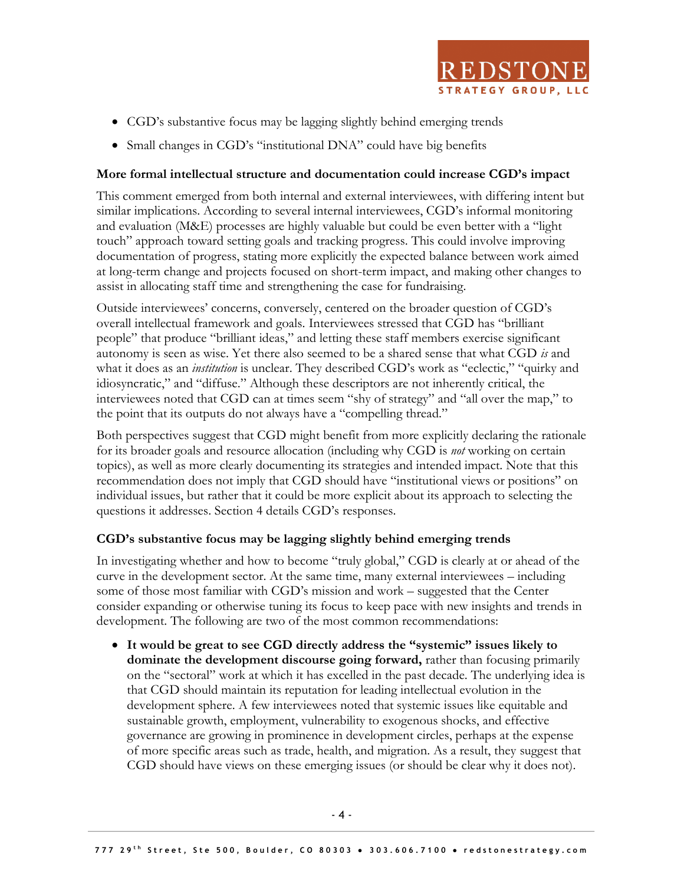

- CGD's substantive focus may be lagging slightly behind emerging trends
- Small changes in CGD's "institutional DNA" could have big benefits

#### **More formal intellectual structure and documentation could increase CGD's impact**

This comment emerged from both internal and external interviewees, with differing intent but similar implications. According to several internal interviewees, CGD's informal monitoring and evaluation (M&E) processes are highly valuable but could be even better with a "light touch" approach toward setting goals and tracking progress. This could involve improving documentation of progress, stating more explicitly the expected balance between work aimed at long-term change and projects focused on short-term impact, and making other changes to assist in allocating staff time and strengthening the case for fundraising.

Outside interviewees' concerns, conversely, centered on the broader question of CGD's overall intellectual framework and goals. Interviewees stressed that CGD has "brilliant people" that produce "brilliant ideas," and letting these staff members exercise significant autonomy is seen as wise. Yet there also seemed to be a shared sense that what CGD *is* and what it does as an *institution* is unclear. They described CGD's work as "eclectic," "quirky and idiosyncratic," and "diffuse." Although these descriptors are not inherently critical, the interviewees noted that CGD can at times seem "shy of strategy" and "all over the map," to the point that its outputs do not always have a "compelling thread."

Both perspectives suggest that CGD might benefit from more explicitly declaring the rationale for its broader goals and resource allocation (including why CGD is *not* working on certain topics), as well as more clearly documenting its strategies and intended impact. Note that this recommendation does not imply that CGD should have "institutional views or positions" on individual issues, but rather that it could be more explicit about its approach to selecting the questions it addresses. Section 4 details CGD's responses.

#### **CGD's substantive focus may be lagging slightly behind emerging trends**

In investigating whether and how to become "truly global," CGD is clearly at or ahead of the curve in the development sector. At the same time, many external interviewees – including some of those most familiar with CGD's mission and work – suggested that the Center consider expanding or otherwise tuning its focus to keep pace with new insights and trends in development. The following are two of the most common recommendations:

 **It would be great to see CGD directly address the "systemic" issues likely to dominate the development discourse going forward,** rather than focusing primarily on the "sectoral" work at which it has excelled in the past decade. The underlying idea is that CGD should maintain its reputation for leading intellectual evolution in the development sphere. A few interviewees noted that systemic issues like equitable and sustainable growth, employment, vulnerability to exogenous shocks, and effective governance are growing in prominence in development circles, perhaps at the expense of more specific areas such as trade, health, and migration. As a result, they suggest that CGD should have views on these emerging issues (or should be clear why it does not).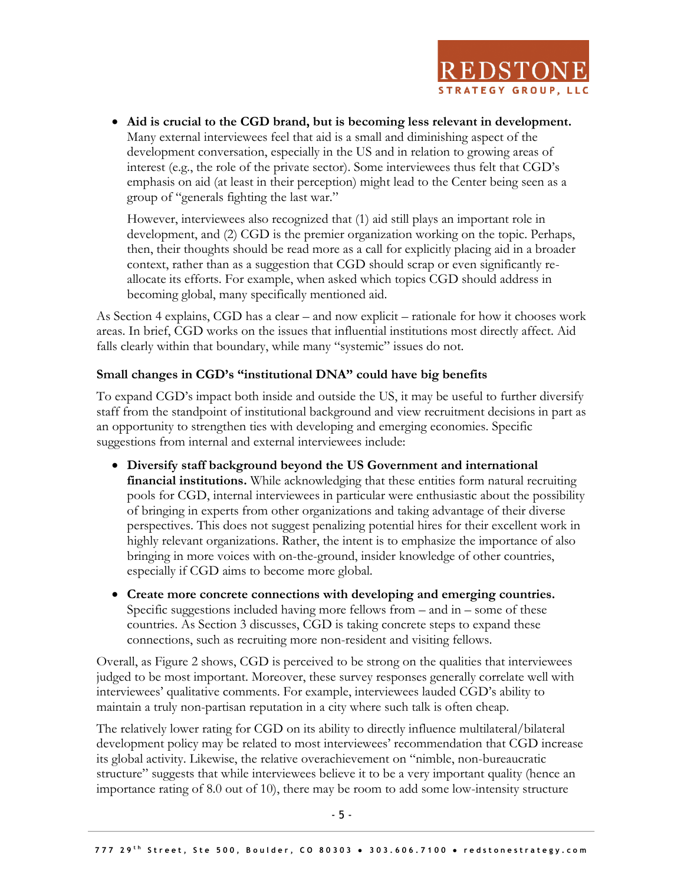

 **Aid is crucial to the CGD brand, but is becoming less relevant in development.** Many external interviewees feel that aid is a small and diminishing aspect of the development conversation, especially in the US and in relation to growing areas of interest (e.g., the role of the private sector). Some interviewees thus felt that CGD's emphasis on aid (at least in their perception) might lead to the Center being seen as a group of "generals fighting the last war."

However, interviewees also recognized that (1) aid still plays an important role in development, and (2) CGD is the premier organization working on the topic. Perhaps, then, their thoughts should be read more as a call for explicitly placing aid in a broader context, rather than as a suggestion that CGD should scrap or even significantly reallocate its efforts. For example, when asked which topics CGD should address in becoming global, many specifically mentioned aid.

As Section 4 explains, CGD has a clear – and now explicit – rationale for how it chooses work areas. In brief, CGD works on the issues that influential institutions most directly affect. Aid falls clearly within that boundary, while many "systemic" issues do not.

#### **Small changes in CGD's "institutional DNA" could have big benefits**

To expand CGD's impact both inside and outside the US, it may be useful to further diversify staff from the standpoint of institutional background and view recruitment decisions in part as an opportunity to strengthen ties with developing and emerging economies. Specific suggestions from internal and external interviewees include:

- **Diversify staff background beyond the US Government and international financial institutions.** While acknowledging that these entities form natural recruiting pools for CGD, internal interviewees in particular were enthusiastic about the possibility of bringing in experts from other organizations and taking advantage of their diverse perspectives. This does not suggest penalizing potential hires for their excellent work in highly relevant organizations. Rather, the intent is to emphasize the importance of also bringing in more voices with on-the-ground, insider knowledge of other countries, especially if CGD aims to become more global.
- **Create more concrete connections with developing and emerging countries.**  Specific suggestions included having more fellows from – and in – some of these countries. As Section 3 discusses, CGD is taking concrete steps to expand these connections, such as recruiting more non-resident and visiting fellows.

Overall, as Figure 2 shows, CGD is perceived to be strong on the qualities that interviewees judged to be most important. Moreover, these survey responses generally correlate well with interviewees' qualitative comments. For example, interviewees lauded CGD's ability to maintain a truly non-partisan reputation in a city where such talk is often cheap.

The relatively lower rating for CGD on its ability to directly influence multilateral/bilateral development policy may be related to most interviewees' recommendation that CGD increase its global activity. Likewise, the relative overachievement on "nimble, non-bureaucratic structure" suggests that while interviewees believe it to be a very important quality (hence an importance rating of 8.0 out of 10), there may be room to add some low-intensity structure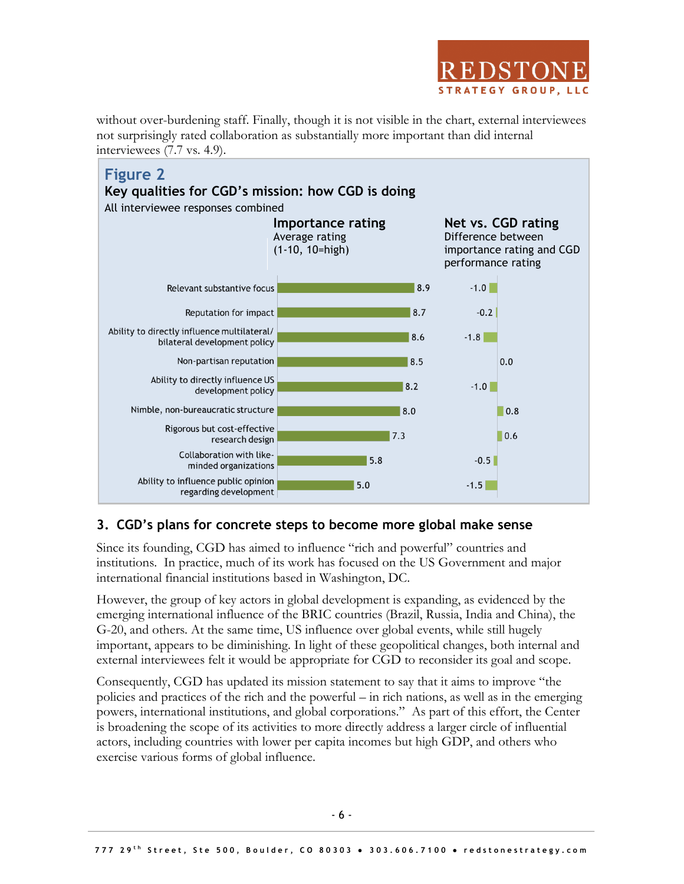

without over-burdening staff. Finally, though it is not visible in the chart, external interviewees not surprisingly rated collaboration as substantially more important than did internal interviewees (7.7 vs. 4.9).



# **3. CGD's plans for concrete steps to become more global make sense**

Since its founding, CGD has aimed to influence "rich and powerful" countries and institutions. In practice, much of its work has focused on the US Government and major international financial institutions based in Washington, DC.

However, the group of key actors in global development is expanding, as evidenced by the emerging international influence of the BRIC countries (Brazil, Russia, India and China), the G-20, and others. At the same time, US influence over global events, while still hugely important, appears to be diminishing. In light of these geopolitical changes, both internal and external interviewees felt it would be appropriate for CGD to reconsider its goal and scope.

Consequently, CGD has updated its mission statement to say that it aims to improve "the policies and practices of the rich and the powerful – in rich nations, as well as in the emerging powers, international institutions, and global corporations." As part of this effort, the Center is broadening the scope of its activities to more directly address a larger circle of influential actors, including countries with lower per capita incomes but high GDP, and others who exercise various forms of global influence.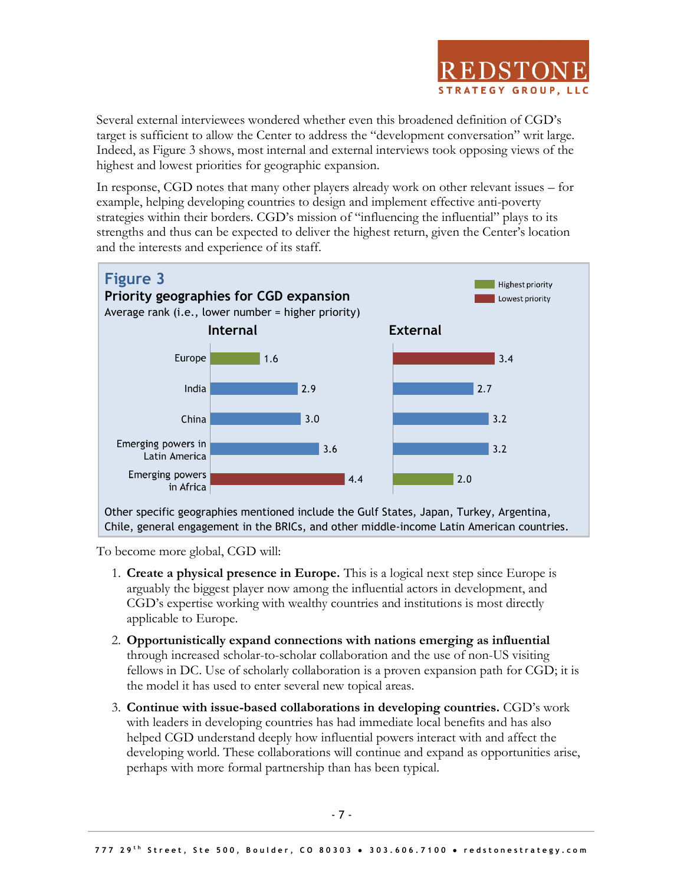

Several external interviewees wondered whether even this broadened definition of CGD's target is sufficient to allow the Center to address the "development conversation" writ large. Indeed, as Figure 3 shows, most internal and external interviews took opposing views of the highest and lowest priorities for geographic expansion.

In response, CGD notes that many other players already work on other relevant issues – for example, helping developing countries to design and implement effective anti-poverty strategies within their borders. CGD's mission of "influencing the influential" plays to its strengths and thus can be expected to deliver the highest return, given the Center's location and the interests and experience of its staff.



To become more global, CGD will:

- 1. **Create a physical presence in Europe.** This is a logical next step since Europe is arguably the biggest player now among the influential actors in development, and CGD's expertise working with wealthy countries and institutions is most directly applicable to Europe.
- 2. **Opportunistically expand connections with nations emerging as influential** through increased scholar-to-scholar collaboration and the use of non-US visiting fellows in DC. Use of scholarly collaboration is a proven expansion path for CGD; it is the model it has used to enter several new topical areas.
- 3. **Continue with issue-based collaborations in developing countries.** CGD's work with leaders in developing countries has had immediate local benefits and has also helped CGD understand deeply how influential powers interact with and affect the developing world. These collaborations will continue and expand as opportunities arise, perhaps with more formal partnership than has been typical.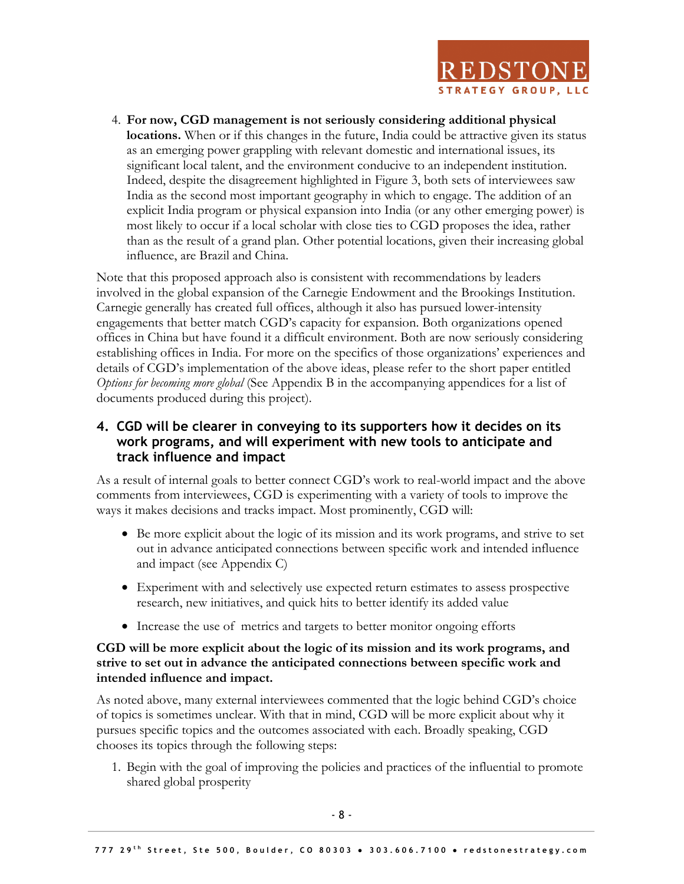

4. **For now, CGD management is not seriously considering additional physical locations.** When or if this changes in the future, India could be attractive given its status as an emerging power grappling with relevant domestic and international issues, its significant local talent, and the environment conducive to an independent institution. Indeed, despite the disagreement highlighted in Figure 3, both sets of interviewees saw India as the second most important geography in which to engage. The addition of an explicit India program or physical expansion into India (or any other emerging power) is most likely to occur if a local scholar with close ties to CGD proposes the idea, rather than as the result of a grand plan. Other potential locations, given their increasing global influence, are Brazil and China.

Note that this proposed approach also is consistent with recommendations by leaders involved in the global expansion of the Carnegie Endowment and the Brookings Institution. Carnegie generally has created full offices, although it also has pursued lower-intensity engagements that better match CGD's capacity for expansion. Both organizations opened offices in China but have found it a difficult environment. Both are now seriously considering establishing offices in India. For more on the specifics of those organizations' experiences and details of CGD's implementation of the above ideas, please refer to the short paper entitled *Options for becoming more global* (See Appendix B in the accompanying appendices for a list of documents produced during this project).

# **4. CGD will be clearer in conveying to its supporters how it decides on its work programs, and will experiment with new tools to anticipate and track influence and impact**

As a result of internal goals to better connect CGD's work to real-world impact and the above comments from interviewees, CGD is experimenting with a variety of tools to improve the ways it makes decisions and tracks impact. Most prominently, CGD will:

- Be more explicit about the logic of its mission and its work programs, and strive to set out in advance anticipated connections between specific work and intended influence and impact (see Appendix C)
- Experiment with and selectively use expected return estimates to assess prospective research, new initiatives, and quick hits to better identify its added value
- Increase the use of metrics and targets to better monitor ongoing efforts

## **CGD will be more explicit about the logic of its mission and its work programs, and strive to set out in advance the anticipated connections between specific work and intended influence and impact.**

As noted above, many external interviewees commented that the logic behind CGD's choice of topics is sometimes unclear. With that in mind, CGD will be more explicit about why it pursues specific topics and the outcomes associated with each. Broadly speaking, CGD chooses its topics through the following steps:

1. Begin with the goal of improving the policies and practices of the influential to promote shared global prosperity

- 8 -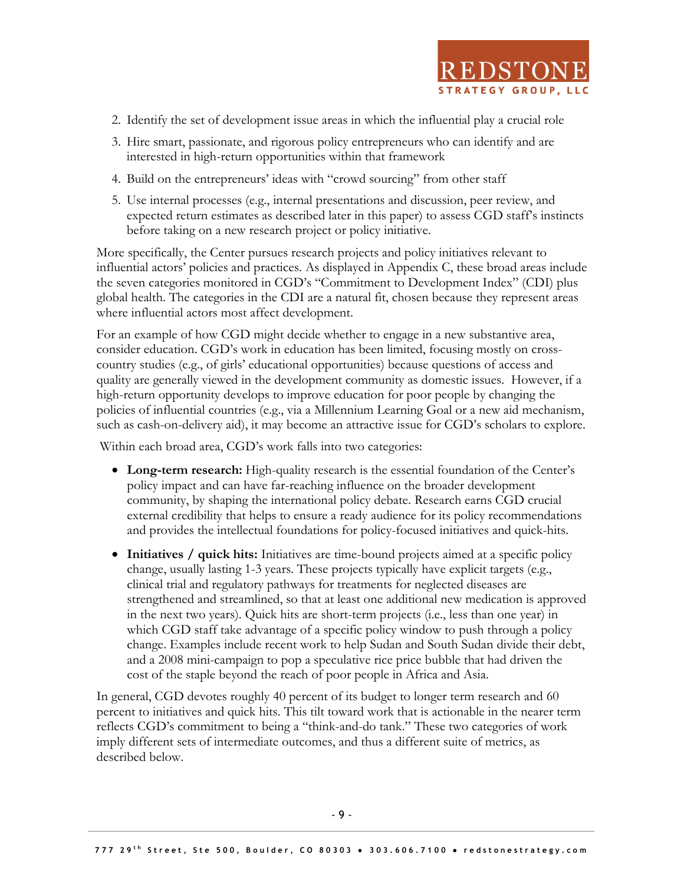

- 2. Identify the set of development issue areas in which the influential play a crucial role
- 3. Hire smart, passionate, and rigorous policy entrepreneurs who can identify and are interested in high-return opportunities within that framework
- 4. Build on the entrepreneurs' ideas with "crowd sourcing" from other staff
- 5. Use internal processes (e.g., internal presentations and discussion, peer review, and expected return estimates as described later in this paper) to assess CGD staff's instincts before taking on a new research project or policy initiative.

More specifically, the Center pursues research projects and policy initiatives relevant to influential actors' policies and practices. As displayed in Appendix C, these broad areas include the seven categories monitored in CGD's "Commitment to Development Index" (CDI) plus global health. The categories in the CDI are a natural fit, chosen because they represent areas where influential actors most affect development.

For an example of how CGD might decide whether to engage in a new substantive area, consider education. CGD's work in education has been limited, focusing mostly on crosscountry studies (e.g., of girls' educational opportunities) because questions of access and quality are generally viewed in the development community as domestic issues. However, if a high-return opportunity develops to improve education for poor people by changing the policies of influential countries (e.g., via a Millennium Learning Goal or a new aid mechanism, such as cash-on-delivery aid), it may become an attractive issue for CGD's scholars to explore.

Within each broad area, CGD's work falls into two categories:

- **Long-term research:** High-quality research is the essential foundation of the Center's policy impact and can have far-reaching influence on the broader development community, by shaping the international policy debate. Research earns CGD crucial external credibility that helps to ensure a ready audience for its policy recommendations and provides the intellectual foundations for policy-focused initiatives and quick-hits.
- **Initiatives / quick hits:** Initiatives are time-bound projects aimed at a specific policy change, usually lasting 1-3 years. These projects typically have explicit targets (e.g., clinical trial and regulatory pathways for treatments for neglected diseases are strengthened and streamlined, so that at least one additional new medication is approved in the next two years). Quick hits are short-term projects (i.e., less than one year) in which CGD staff take advantage of a specific policy window to push through a policy change. Examples include recent work to help Sudan and South Sudan divide their debt, and a 2008 mini-campaign to pop a speculative rice price bubble that had driven the cost of the staple beyond the reach of poor people in Africa and Asia.

In general, CGD devotes roughly 40 percent of its budget to longer term research and 60 percent to initiatives and quick hits. This tilt toward work that is actionable in the nearer term reflects CGD's commitment to being a "think-and-do tank." These two categories of work imply different sets of intermediate outcomes, and thus a different suite of metrics, as described below.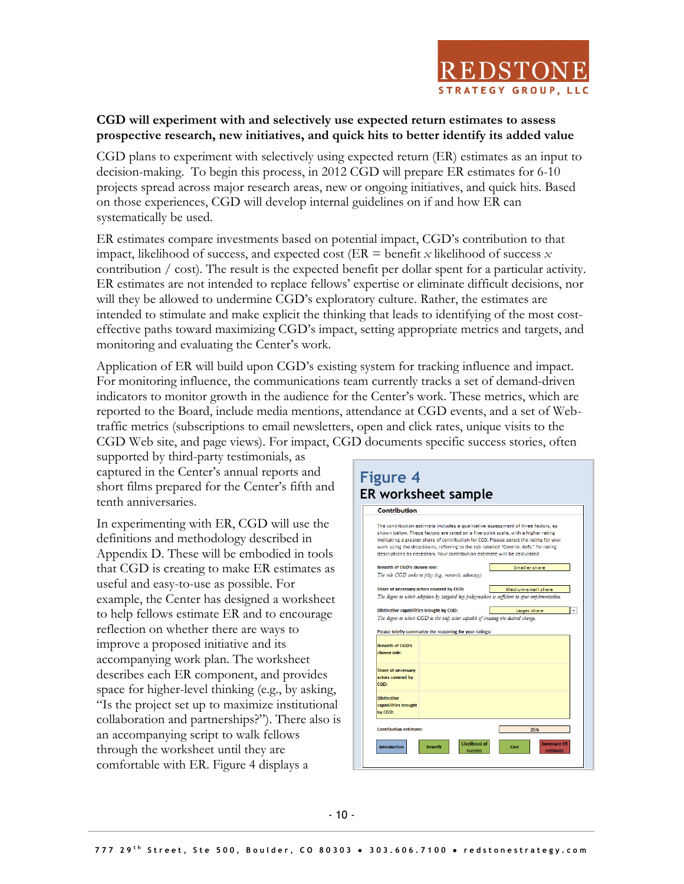

## **CGD will experiment with and selectively use expected return estimates to assess prospective research, new initiatives, and quick hits to better identify its added value**

CGD plans to experiment with selectively using expected return (ER) estimates as an input to decision-making. To begin this process, in 2012 CGD will prepare ER estimates for 6-10 projects spread across major research areas, new or ongoing initiatives, and quick hits. Based on those experiences, CGD will develop internal guidelines on if and how ER can systematically be used.

ER estimates compare investments based on potential impact, CGD's contribution to that impact, likelihood of success, and expected cost (ER = benefit *x* likelihood of success *x* contribution / cost). The result is the expected benefit per dollar spent for a particular activity. ER estimates are not intended to replace fellows' expertise or eliminate difficult decisions, nor will they be allowed to undermine CGD's exploratory culture. Rather, the estimates are intended to stimulate and make explicit the thinking that leads to identifying of the most costeffective paths toward maximizing CGD's impact, setting appropriate metrics and targets, and monitoring and evaluating the Center's work.

Application of ER will build upon CGD's existing system for tracking influence and impact. For monitoring influence, the communications team currently tracks a set of demand-driven indicators to monitor growth in the audience for the Center's work. These metrics, which are reported to the Board, include media mentions, attendance at CGD events, and a set of Webtraffic metrics (subscriptions to email newsletters, open and click rates, unique visits to the CGD Web site, and page views). For impact, CGD documents specific success stories, often

supported by third-party testimonials, as captured in the Center's annual reports and short films prepared for the Center's fifth and tenth anniversaries.

In experimenting with ER, CGD will use the definitions and methodology described in Appendix D. These will be embodied in tools that CGD is creating to make ER estimates as useful and easy-to-use as possible. For example, the Center has designed a worksheet to help fellows estimate ER and to encourage reflection on whether there are ways to improve a proposed initiative and its accompanying work plan. The worksheet describes each ER component, and provides space for higher-level thinking (e.g., by asking, "Is the project set up to maximize institutional collaboration and partnerships?"). There also is an accompanying script to walk fellows through the worksheet until they are comfortable with ER. Figure 4 displays a